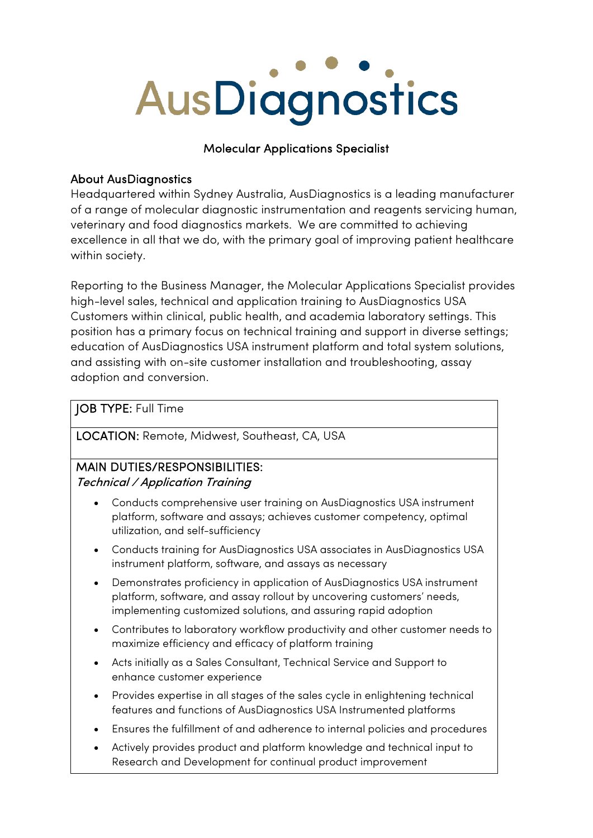# AusDiagnostics

# Molecular Applications Specialist

# About AusDiagnostics

Headquartered within Sydney Australia, AusDiagnostics is a leading manufacturer of a range of molecular diagnostic instrumentation and reagents servicing human, veterinary and food diagnostics markets. We are committed to achieving excellence in all that we do, with the primary goal of improving patient healthcare within society.

Reporting to the Business Manager, the Molecular Applications Specialist provides high-level sales, technical and application training to AusDiagnostics USA Customers within clinical, public health, and academia laboratory settings. This position has a primary focus on technical training and support in diverse settings; education of AusDiagnostics USA instrument platform and total system solutions, and assisting with on-site customer installation and troubleshooting, assay adoption and conversion.

# JOB TYPE: Full Time

LOCATION: Remote, Midwest, Southeast, CA, USA

# MAIN DUTIES/RESPONSIBILITIES:

### Technical / Application Training

- Conducts comprehensive user training on AusDiagnostics USA instrument platform, software and assays; achieves customer competency, optimal utilization, and self-sufficiency
- Conducts training for AusDiagnostics USA associates in AusDiagnostics USA instrument platform, software, and assays as necessary
- Demonstrates proficiency in application of AusDiagnostics USA instrument platform, software, and assay rollout by uncovering customers' needs, implementing customized solutions, and assuring rapid adoption
- Contributes to laboratory workflow productivity and other customer needs to maximize efficiency and efficacy of platform training
- Acts initially as a Sales Consultant, Technical Service and Support to enhance customer experience
- Provides expertise in all stages of the sales cycle in enlightening technical features and functions of AusDiagnostics USA Instrumented platforms
- Ensures the fulfillment of and adherence to internal policies and procedures
- Actively provides product and platform knowledge and technical input to Research and Development for continual product improvement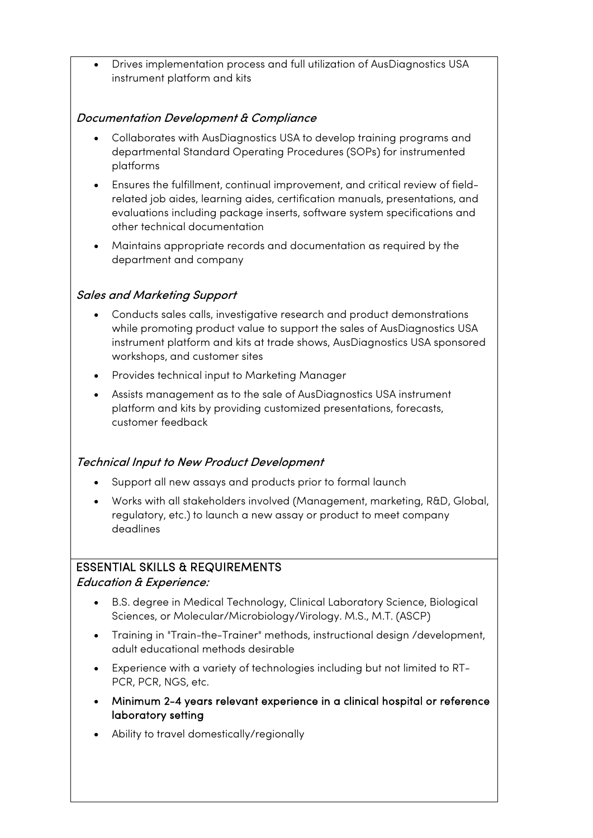• Drives implementation process and full utilization of AusDiagnostics USA instrument platform and kits

#### Documentation Development & Compliance

- Collaborates with AusDiagnostics USA to develop training programs and departmental Standard Operating Procedures (SOPs) for instrumented platforms
- Ensures the fulfillment, continual improvement, and critical review of fieldrelated job aides, learning aides, certification manuals, presentations, and evaluations including package inserts, software system specifications and other technical documentation
- Maintains appropriate records and documentation as required by the department and company

#### Sales and Marketing Support

- Conducts sales calls, investigative research and product demonstrations while promoting product value to support the sales of AusDiagnostics USA instrument platform and kits at trade shows, AusDiagnostics USA sponsored workshops, and customer sites
- Provides technical input to Marketing Manager
- Assists management as to the sale of AusDiagnostics USA instrument platform and kits by providing customized presentations, forecasts, customer feedback

#### Technical Input to New Product Development

- Support all new assays and products prior to formal launch
- Works with all stakeholders involved (Management, marketing, R&D, Global, regulatory, etc.) to launch a new assay or product to meet company deadlines

#### ESSENTIAL SKILLS & REQUIREMENTS

Education & Experience:

- B.S. degree in Medical Technology, Clinical Laboratory Science, Biological Sciences, or Molecular/Microbiology/Virology. M.S., M.T. (ASCP)
- Training in "Train-the-Trainer" methods, instructional design /development, adult educational methods desirable
- Experience with a variety of technologies including but not limited to RT-PCR, PCR, NGS, etc.
- Minimum 2-4 years relevant experience in a clinical hospital or reference laboratory setting
- Ability to travel domestically/regionally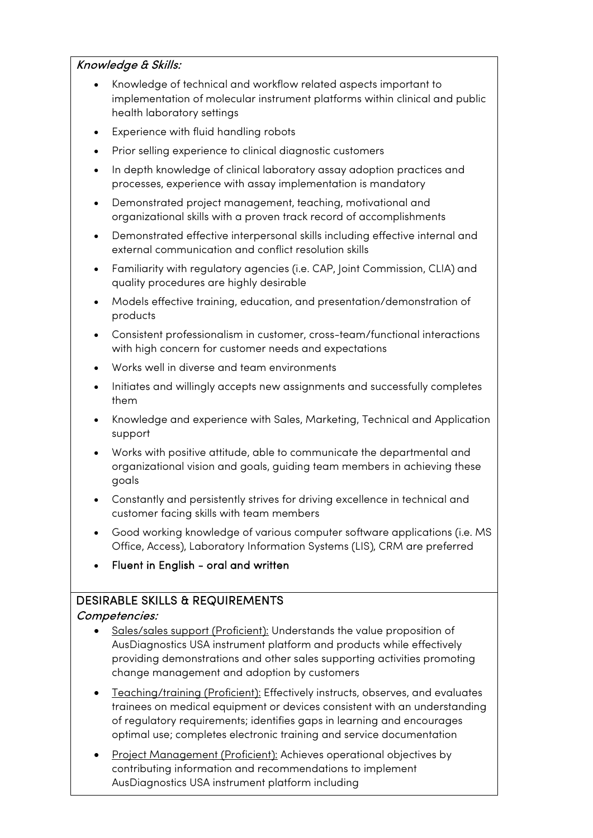#### Knowledge & Skills:

- Knowledge of technical and workflow related aspects important to implementation of molecular instrument platforms within clinical and public health laboratory settings
- Experience with fluid handling robots
- Prior selling experience to clinical diagnostic customers
- In depth knowledge of clinical laboratory assay adoption practices and processes, experience with assay implementation is mandatory
- Demonstrated project management, teaching, motivational and organizational skills with a proven track record of accomplishments
- Demonstrated effective interpersonal skills including effective internal and external communication and conflict resolution skills
- Familiarity with regulatory agencies (i.e. CAP, Joint Commission, CLIA) and quality procedures are highly desirable
- Models effective training, education, and presentation/demonstration of products
- Consistent professionalism in customer, cross-team/functional interactions with high concern for customer needs and expectations
- Works well in diverse and team environments
- Initiates and willingly accepts new assignments and successfully completes them
- Knowledge and experience with Sales, Marketing, Technical and Application support
- Works with positive attitude, able to communicate the departmental and organizational vision and goals, guiding team members in achieving these goals
- Constantly and persistently strives for driving excellence in technical and customer facing skills with team members
- Good working knowledge of various computer software applications (i.e. MS Office, Access), Laboratory Information Systems (LIS), CRM are preferred
- Fluent in English oral and written

# DESIRABLE SKILLS & REQUIREMENTS

#### Competencies:

- Sales/sales support (Proficient): Understands the value proposition of AusDiagnostics USA instrument platform and products while effectively providing demonstrations and other sales supporting activities promoting change management and adoption by customers
- Teaching/training (Proficient): Effectively instructs, observes, and evaluates trainees on medical equipment or devices consistent with an understanding of regulatory requirements; identifies gaps in learning and encourages optimal use; completes electronic training and service documentation
- Project Management (Proficient): Achieves operational objectives by contributing information and recommendations to implement AusDiagnostics USA instrument platform including